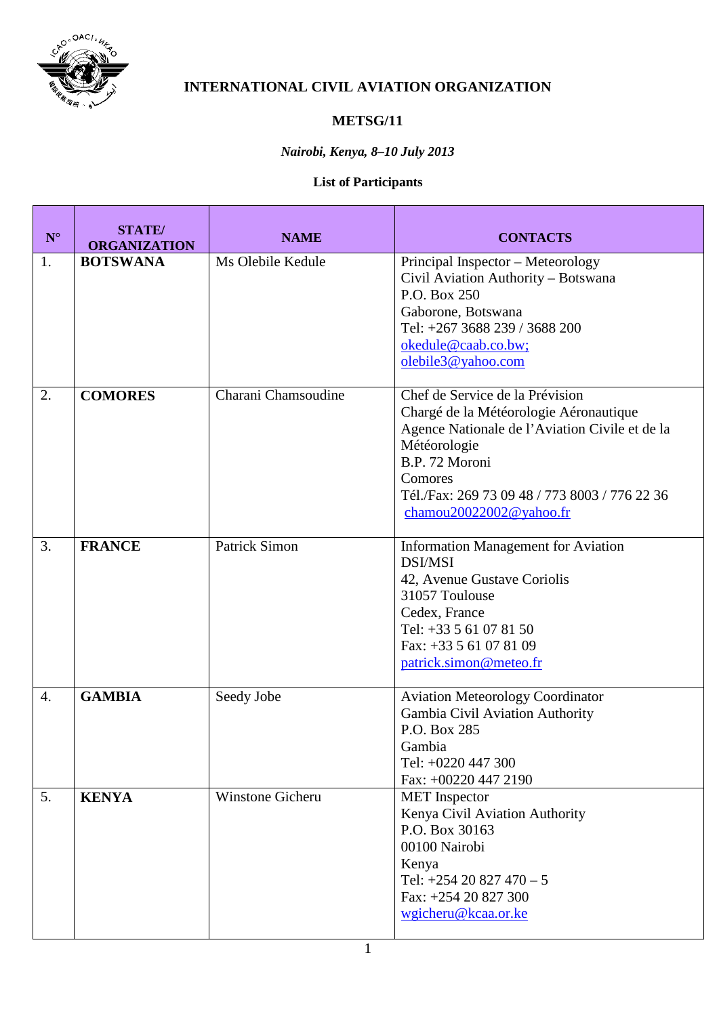

## **INTERNATIONAL CIVIL AVIATION ORGANIZATION**

## **METSG/11**

## *Nairobi, Kenya, 8–10 July 2013*

## **List of Participants**

| $\mathbf{N}^\circ$ | <b>STATE/</b><br><b>ORGANIZATION</b> | <b>NAME</b>          | <b>CONTACTS</b>                                                                                                                                                                                                                                      |
|--------------------|--------------------------------------|----------------------|------------------------------------------------------------------------------------------------------------------------------------------------------------------------------------------------------------------------------------------------------|
| 1.                 | <b>BOTSWANA</b>                      | Ms Olebile Kedule    | Principal Inspector - Meteorology<br>Civil Aviation Authority - Botswana<br>P.O. Box 250<br>Gaborone, Botswana<br>Tel: +267 3688 239 / 3688 200<br>okedule@caab.co.bw;<br>olebile3@yahoo.com                                                         |
| 2.                 | <b>COMORES</b>                       | Charani Chamsoudine  | Chef de Service de la Prévision<br>Chargé de la Météorologie Aéronautique<br>Agence Nationale de l'Aviation Civile et de la<br>Météorologie<br>B.P. 72 Moroni<br>Comores<br>Tél./Fax: 269 73 09 48 / 773 8003 / 776 22 36<br>chamou20022002@yahoo.fr |
| 3.                 | <b>FRANCE</b>                        | <b>Patrick Simon</b> | <b>Information Management for Aviation</b><br><b>DSI/MSI</b><br>42, Avenue Gustave Coriolis<br>31057 Toulouse<br>Cedex, France<br>Tel: +33 5 61 07 81 50<br>Fax: +33 5 61 07 81 09<br>patrick.simon@meteo.fr                                         |
| $\overline{4}$ .   | <b>GAMBIA</b>                        | Seedy Jobe           | <b>Aviation Meteorology Coordinator</b><br>Gambia Civil Aviation Authority<br>P.O. Box 285<br>Gambia<br>Tel: +0220 447 300<br>Fax: +00220 447 2190                                                                                                   |
| 5.                 | <b>KENYA</b>                         | Winstone Gicheru     | <b>MET</b> Inspector<br>Kenya Civil Aviation Authority<br>P.O. Box 30163<br>00100 Nairobi<br>Kenya<br>Tel: $+25420827470 - 5$<br>Fax: +254 20 827 300<br>wgicheru@kcaa.or.ke                                                                         |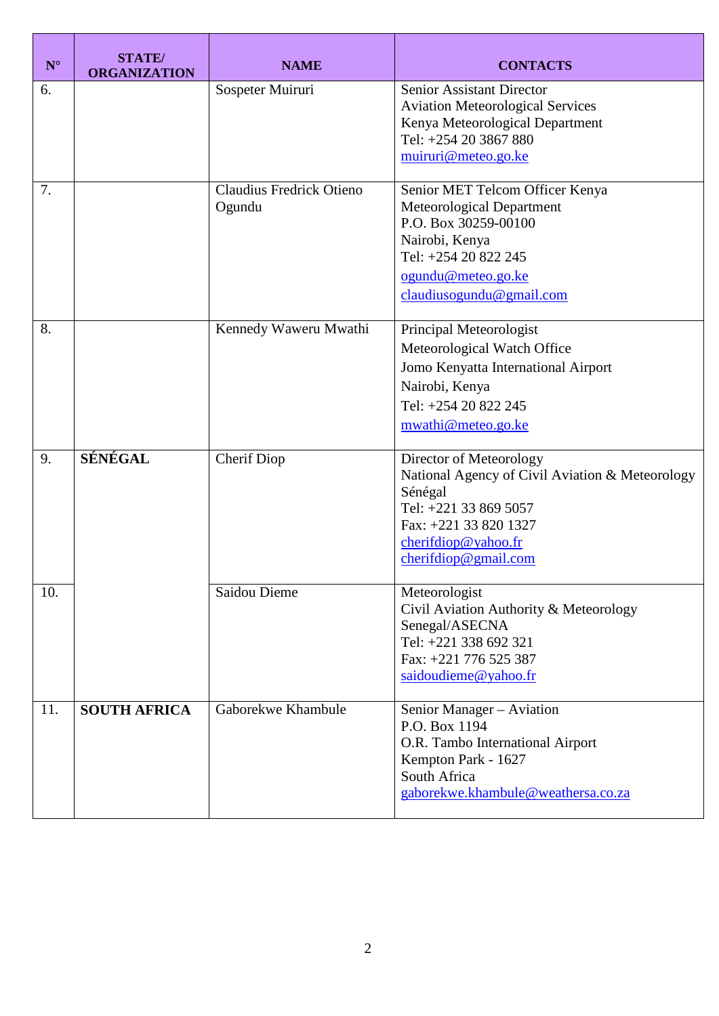| $\mathbf{N}^{\circ}$ | <b>STATE</b> /<br><b>ORGANIZATION</b> | <b>NAME</b>                        | <b>CONTACTS</b>                                                                                                                                                                             |
|----------------------|---------------------------------------|------------------------------------|---------------------------------------------------------------------------------------------------------------------------------------------------------------------------------------------|
| 6.                   |                                       | Sospeter Muiruri                   | <b>Senior Assistant Director</b><br><b>Aviation Meteorological Services</b><br>Kenya Meteorological Department<br>Tel: +254 20 3867 880<br>muiruri@meteo.go.ke                              |
| 7.                   |                                       | Claudius Fredrick Otieno<br>Ogundu | Senior MET Telcom Officer Kenya<br>Meteorological Department<br>P.O. Box 30259-00100<br>Nairobi, Kenya<br>Tel: +254 20 822 245<br>ogundu@meteo.go.ke<br>claudiusogundu@gmail.com            |
| 8.                   |                                       | Kennedy Waweru Mwathi              | Principal Meteorologist<br>Meteorological Watch Office<br>Jomo Kenyatta International Airport<br>Nairobi, Kenya<br>Tel: +254 20 822 245<br>mwathi@meteo.go.ke                               |
| 9.                   | SÉNÉGAL                               | <b>Cherif Diop</b>                 | Director of Meteorology<br>National Agency of Civil Aviation & Meteorology<br>Sénégal<br>Tel: +221 33 869 5057<br>Fax: +221 33 820 1327<br>cherifdiop@yahoo.fr<br>$cherifd \omegagmail.com$ |
| 10.                  |                                       | Saidou Dieme                       | Meteorologist<br>Civil Aviation Authority & Meteorology<br>Senegal/ASECNA<br>Tel: +221 338 692 321<br>Fax: +221 776 525 387<br>saidoudieme@yahoo.fr                                         |
| 11.                  | <b>SOUTH AFRICA</b>                   | Gaborekwe Khambule                 | Senior Manager - Aviation<br>P.O. Box 1194<br>O.R. Tambo International Airport<br>Kempton Park - 1627<br>South Africa<br>gaborekwe.khambule@weathersa.co.za                                 |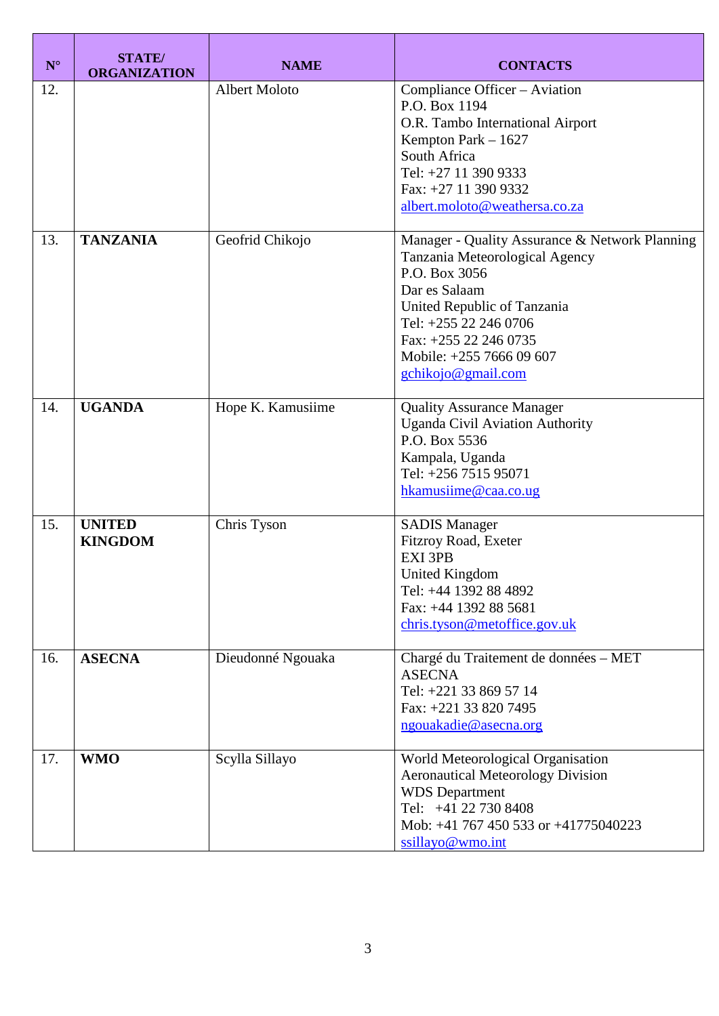| $\mathbf{N}^{\circ}$ | <b>STATE</b> /<br><b>ORGANIZATION</b> | <b>NAME</b>          | <b>CONTACTS</b>                                                                                                                                                                                                                                       |
|----------------------|---------------------------------------|----------------------|-------------------------------------------------------------------------------------------------------------------------------------------------------------------------------------------------------------------------------------------------------|
| 12.                  |                                       | <b>Albert Moloto</b> | Compliance Officer - Aviation<br>P.O. Box 1194<br>O.R. Tambo International Airport<br>Kempton Park $-1627$<br>South Africa<br>Tel: +27 11 390 9333<br>Fax: +27 11 390 9332<br>albert.moloto@weathersa.co.za                                           |
| 13.                  | <b>TANZANIA</b>                       | Geofrid Chikojo      | Manager - Quality Assurance & Network Planning<br>Tanzania Meteorological Agency<br>P.O. Box 3056<br>Dar es Salaam<br>United Republic of Tanzania<br>Tel: +255 22 246 0706<br>Fax: +255 22 246 0735<br>Mobile: +255 7666 09 607<br>gchikojo@gmail.com |
| 14.                  | <b>UGANDA</b>                         | Hope K. Kamusiime    | <b>Quality Assurance Manager</b><br><b>Uganda Civil Aviation Authority</b><br>P.O. Box 5536<br>Kampala, Uganda<br>Tel: +256 7515 95071<br>hkamusiime@caa.co.ug                                                                                        |
| 15.                  | <b>UNITED</b><br><b>KINGDOM</b>       | Chris Tyson          | <b>SADIS Manager</b><br>Fitzroy Road, Exeter<br>EXI 3PB<br>United Kingdom<br>Tel: +44 1392 88 4892<br>Fax: +44 1392 88 5681<br>chris.tyson@metoffice.gov.uk                                                                                           |
| 16.                  | <b>ASECNA</b>                         | Dieudonné Ngouaka    | Chargé du Traitement de données - MET<br><b>ASECNA</b><br>Tel: +221 33 869 57 14<br>Fax: +221 33 820 7495<br>ngouakadie@asecna.org                                                                                                                    |
| 17.                  | <b>WMO</b>                            | Scylla Sillayo       | World Meteorological Organisation<br><b>Aeronautical Meteorology Division</b><br><b>WDS</b> Department<br>Tel: +41 22 730 8408<br>Mob: +41 767 450 533 or +41775040223<br>ssillayo@wmo.int                                                            |